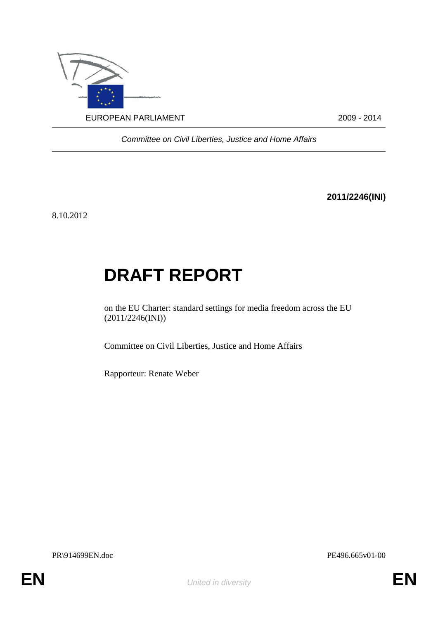

*Committee on Civil Liberties, Justice and Home Affairs*

**2011/2246(INI)**

8.10.2012

# **DRAFT REPORT**

on the EU Charter: standard settings for media freedom across the EU (2011/2246(INI))

Committee on Civil Liberties, Justice and Home Affairs

Rapporteur: Renate Weber

PR\914699EN.doc PE496.665v01-00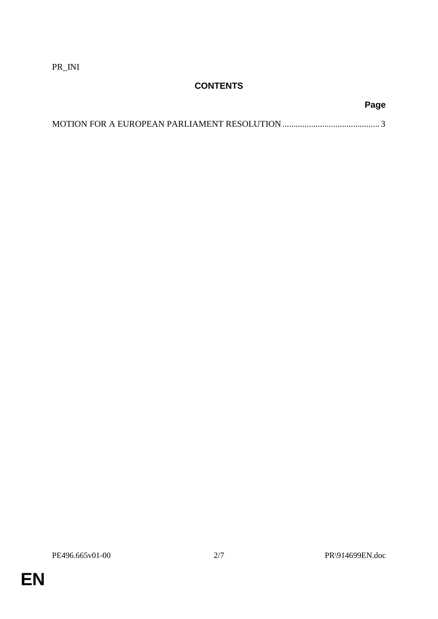PR\_INI

# **CONTENTS**

# **Page**

**EN**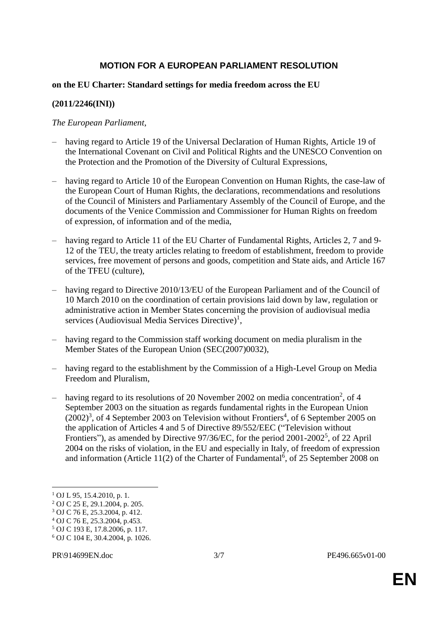## **MOTION FOR A EUROPEAN PARLIAMENT RESOLUTION**

### **on the EU Charter: Standard settings for media freedom across the EU**

### **(2011/2246(INI))**

#### *The European Parliament*,

- having regard to Article 19 of the Universal Declaration of Human Rights, Article 19 of the International Covenant on Civil and Political Rights and the UNESCO Convention on the Protection and the Promotion of the Diversity of Cultural Expressions,
- having regard to Article 10 of the European Convention on Human Rights, the case-law of the European Court of Human Rights, the declarations, recommendations and resolutions of the Council of Ministers and Parliamentary Assembly of the Council of Europe, and the documents of the Venice Commission and Commissioner for Human Rights on freedom of expression, of information and of the media,
- having regard to Article 11 of the EU Charter of Fundamental Rights, Articles 2, 7 and 9- 12 of the TEU, the treaty articles relating to freedom of establishment, freedom to provide services, free movement of persons and goods, competition and State aids, and Article 167 of the TFEU (culture),
- having regard to Directive 2010/13/EU of the European Parliament and of the Council of 10 March 2010 on the coordination of certain provisions laid down by law, regulation or administrative action in Member States concerning the provision of audiovisual media services (Audiovisual Media Services Directive)<sup>1</sup>,
- having regard to the Commission staff working document on media pluralism in the Member States of the European Union (SEC(2007)0032),
- having regard to the establishment by the Commission of a High-Level Group on Media Freedom and Pluralism,
- having regard to its resolutions of 20 November 2002 on media concentration<sup>2</sup>, of 4 September 2003 on the situation as regards fundamental rights in the European Union  $(2002)^3$ , of 4 September 2003 on Television without Frontiers<sup>4</sup>, of 6 September 2005 on the application of Articles 4 and 5 of Directive 89/552/EEC ("Television without Frontiers"), as amended by Directive 97/36/EC, for the period 2001-2002<sup>5</sup>, of 22 April 2004 on the risks of violation, in the EU and especially in Italy, of freedom of expression and information (Article 11(2) of the Charter of Fundamental<sup>6</sup>, of 25 September 2008 on

1

<sup>1</sup> OJ L 95, 15.4.2010, p. 1.

<sup>2</sup> OJ C 25 E, 29.1.2004, p. 205.

<sup>3</sup> OJ C 76 E, 25.3.2004, p. 412.

<sup>4</sup> OJ C 76 E, 25.3.2004, p.453.

<sup>5</sup> OJ C 193 E, 17.8.2006, p. 117.

<sup>6</sup> OJ C 104 E, 30.4.2004, p. 1026.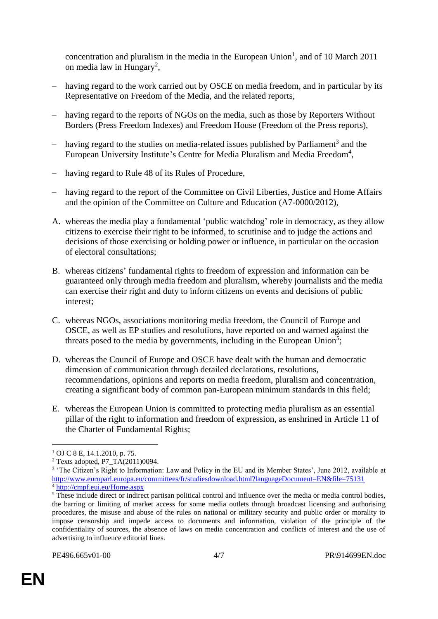concentration and pluralism in the media in the European Union<sup>1</sup>, and of 10 March 2011 on media law in Hungary<sup>2</sup>,

- having regard to the work carried out by OSCE on media freedom, and in particular by its Representative on Freedom of the Media, and the related reports,
- having regard to the reports of NGOs on the media, such as those by Reporters Without Borders (Press Freedom Indexes) and Freedom House (Freedom of the Press reports),
- $-$  having regard to the studies on media-related issues published by Parliament<sup>3</sup> and the European University Institute's Centre for Media Pluralism and Media Freedom<sup>4</sup>,
- having regard to Rule 48 of its Rules of Procedure,
- having regard to the report of the Committee on Civil Liberties, Justice and Home Affairs and the opinion of the Committee on Culture and Education (A7-0000/2012),
- A. whereas the media play a fundamental 'public watchdog' role in democracy, as they allow citizens to exercise their right to be informed, to scrutinise and to judge the actions and decisions of those exercising or holding power or influence, in particular on the occasion of electoral consultations;
- B. whereas citizens' fundamental rights to freedom of expression and information can be guaranteed only through media freedom and pluralism, whereby journalists and the media can exercise their right and duty to inform citizens on events and decisions of public interest;
- C. whereas NGOs, associations monitoring media freedom, the Council of Europe and OSCE, as well as EP studies and resolutions, have reported on and warned against the threats posed to the media by governments, including in the European Union<sup>5</sup>;
- D. whereas the Council of Europe and OSCE have dealt with the human and democratic dimension of communication through detailed declarations, resolutions, recommendations, opinions and reports on media freedom, pluralism and concentration, creating a significant body of common pan-European minimum standards in this field;
- E. whereas the European Union is committed to protecting media pluralism as an essential pillar of the right to information and freedom of expression, as enshrined in Article 11 of the Charter of Fundamental Rights;

1

 $1$  OJ C 8 E, 14.1.2010, p. 75.

<sup>2</sup> Texts adopted, P7\_TA(2011)0094.

<sup>&</sup>lt;sup>3</sup> 'The Citizen's Right to Information: Law and Policy in the EU and its Member States', June 2012, available at <http://www.europarl.europa.eu/committees/fr/studiesdownload.html?languageDocument=EN&file=75131> <sup>4</sup> <http://cmpf.eui.eu/Home.aspx>

<sup>&</sup>lt;sup>5</sup> These include direct or indirect partisan political control and influence over the media or media control bodies, the barring or limiting of market access for some media outlets through broadcast licensing and authorising procedures, the misuse and abuse of the rules on national or military security and public order or morality to impose censorship and impede access to documents and information, violation of the principle of the confidentiality of sources, the absence of laws on media concentration and conflicts of interest and the use of advertising to influence editorial lines.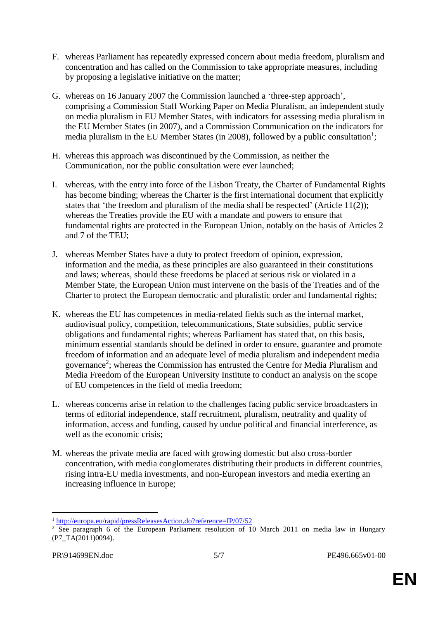- F. whereas Parliament has repeatedly expressed concern about media freedom, pluralism and concentration and has called on the Commission to take appropriate measures, including by proposing a legislative initiative on the matter;
- G. whereas on 16 January 2007 the Commission launched a 'three-step approach', comprising a Commission Staff Working Paper on Media Pluralism, an independent study on media pluralism in EU Member States, with indicators for assessing media pluralism in the EU Member States (in 2007), and a Commission Communication on the indicators for media pluralism in the EU Member States (in 2008), followed by a public consultation<sup>1</sup>;
- H. whereas this approach was discontinued by the Commission, as neither the Communication, nor the public consultation were ever launched;
- I. whereas, with the entry into force of the Lisbon Treaty, the Charter of Fundamental Rights has become binding; whereas the Charter is the first international document that explicitly states that 'the freedom and pluralism of the media shall be respected' (Article 11(2)); whereas the Treaties provide the EU with a mandate and powers to ensure that fundamental rights are protected in the European Union, notably on the basis of Articles 2 and 7 of the TEU;
- J. whereas Member States have a duty to protect freedom of opinion, expression, information and the media, as these principles are also guaranteed in their constitutions and laws; whereas, should these freedoms be placed at serious risk or violated in a Member State, the European Union must intervene on the basis of the Treaties and of the Charter to protect the European democratic and pluralistic order and fundamental rights;
- K. whereas the EU has competences in media-related fields such as the internal market, audiovisual policy, competition, telecommunications, State subsidies, public service obligations and fundamental rights; whereas Parliament has stated that, on this basis, minimum essential standards should be defined in order to ensure, guarantee and promote freedom of information and an adequate level of media pluralism and independent media governance<sup>2</sup>; whereas the Commission has entrusted the Centre for Media Pluralism and Media Freedom of the European University Institute to conduct an analysis on the scope of EU competences in the field of media freedom;
- L. whereas concerns arise in relation to the challenges facing public service broadcasters in terms of editorial independence, staff recruitment, pluralism, neutrality and quality of information, access and funding, caused by undue political and financial interference, as well as the economic crisis;
- M. whereas the private media are faced with growing domestic but also cross-border concentration, with media conglomerates distributing their products in different countries, rising intra-EU media investments, and non-European investors and media exerting an increasing influence in Europe;

<sup>1</sup> <sup>1</sup> <http://europa.eu/rapid/pressReleasesAction.do?reference=IP/07/52>

<sup>&</sup>lt;sup>2</sup> See paragraph 6 of the European Parliament resolution of 10 March 2011 on media law in Hungary (P7\_TA(2011)0094).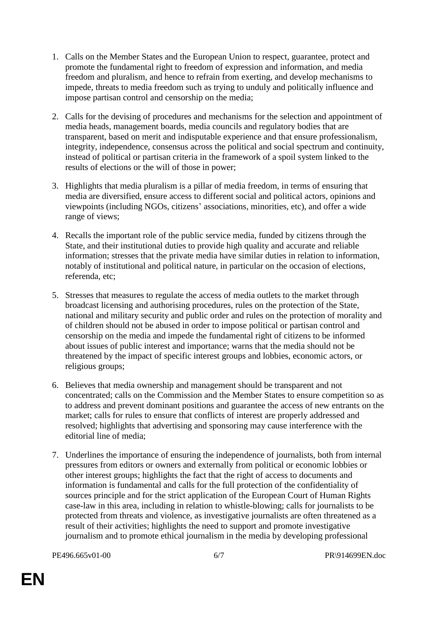- 1. Calls on the Member States and the European Union to respect, guarantee, protect and promote the fundamental right to freedom of expression and information, and media freedom and pluralism, and hence to refrain from exerting, and develop mechanisms to impede, threats to media freedom such as trying to unduly and politically influence and impose partisan control and censorship on the media;
- 2. Calls for the devising of procedures and mechanisms for the selection and appointment of media heads, management boards, media councils and regulatory bodies that are transparent, based on merit and indisputable experience and that ensure professionalism, integrity, independence, consensus across the political and social spectrum and continuity, instead of political or partisan criteria in the framework of a spoil system linked to the results of elections or the will of those in power;
- 3. Highlights that media pluralism is a pillar of media freedom, in terms of ensuring that media are diversified, ensure access to different social and political actors, opinions and viewpoints (including NGOs, citizens' associations, minorities, etc), and offer a wide range of views;
- 4. Recalls the important role of the public service media, funded by citizens through the State, and their institutional duties to provide high quality and accurate and reliable information; stresses that the private media have similar duties in relation to information, notably of institutional and political nature, in particular on the occasion of elections, referenda, etc;
- 5. Stresses that measures to regulate the access of media outlets to the market through broadcast licensing and authorising procedures, rules on the protection of the State, national and military security and public order and rules on the protection of morality and of children should not be abused in order to impose political or partisan control and censorship on the media and impede the fundamental right of citizens to be informed about issues of public interest and importance; warns that the media should not be threatened by the impact of specific interest groups and lobbies, economic actors, or religious groups;
- 6. Believes that media ownership and management should be transparent and not concentrated; calls on the Commission and the Member States to ensure competition so as to address and prevent dominant positions and guarantee the access of new entrants on the market; calls for rules to ensure that conflicts of interest are properly addressed and resolved; highlights that advertising and sponsoring may cause interference with the editorial line of media;
- 7. Underlines the importance of ensuring the independence of journalists, both from internal pressures from editors or owners and externally from political or economic lobbies or other interest groups; highlights the fact that the right of access to documents and information is fundamental and calls for the full protection of the confidentiality of sources principle and for the strict application of the European Court of Human Rights case-law in this area, including in relation to whistle-blowing; calls for journalists to be protected from threats and violence, as investigative journalists are often threatened as a result of their activities; highlights the need to support and promote investigative journalism and to promote ethical journalism in the media by developing professional

PE496.665v01-00 6/7 PR\914699EN.doc